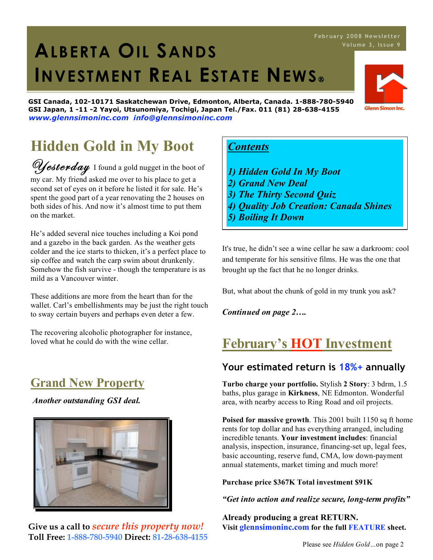#### He's added several nice touches including a Koi pond and a gazebo in the back garden. As the weather gets colder and the ice starts to thicken, it's a perfect place to

sip coffee and watch the carp swim about drunkenly. Somehow the fish survive - though the temperature is as mild as a Vancouver winter.

These additions are more from the heart than for the wallet. Carl's embellishments may be just the right touch to sway certain buyers and perhaps even deter a few.

Westerday I found a gold nugget in the boot of my car. My friend asked me over to his place to get a second set of eyes on it before he listed it for sale. He's spent the good part of a year renovating the 2 houses on both sides of his. And now it's almost time to put them

**Hidden Gold in My Boot**

The recovering alcoholic photographer for instance, loved what he could do with the wine cellar.

# **Grand New Property**

on the market.

*Another outstanding GSI deal.*



## *Contents*

- *1) Hidden Gold In My Boot*
- *2) Grand New Deal*
- *3) The Thirty Second Quiz*
- *4) Quality Job Creation: Canada Shines*
- *5) Boiling It Down*

It's true, he didn't see a wine cellar he saw a darkroom: cool and temperate for his sensitive films. He was the one that brought up the fact that he no longer drinks.

But, what about the chunk of gold in my trunk you ask?

*Continued on page 2….*

# **February's HOT Investment**

### **Your estimated return is 18%+ annually**

**Turbo charge your portfolio.** Stylish **2 Story**: 3 bdrm, 1.5 baths, plus garage in **Kirkness**, NE Edmonton. Wonderful area, with nearby access to Ring Road and oil projects.

**Poised for massive growth**. This 2001 built 1150 sq ft home rents for top dollar and has everything arranged, including incredible tenants. **Your investment includes**: financial analysis, inspection, insurance, financing-set up, legal fees, basic accounting, reserve fund, CMA, low down-payment annual statements, market timing and much more!

#### **Purchase price \$367K Total investment \$91K**

*"Get into action and realize secure, long-term profits"*

**Already producing a great RETURN. Visit glennsimoninc.com for the full FEATURE sheet.**

# 1. **ALBERTA OIL SANDS INVESTMENT REAL ESTATE NEWS**

**GSI Canada, 102-10171 Saskatchewan Drive, Edmonton, Alberta, Canada. 1-888-780-5940 GSI Japan, 1 -11 -2 Yayoi, Utsunomiya, Tochigi, Japan Tel./Fax. 011 (81) 28-638-4155** *www.glennsimoninc.com info@glennsimoninc.com*

# **Febr ua ry 2008 News lette r**



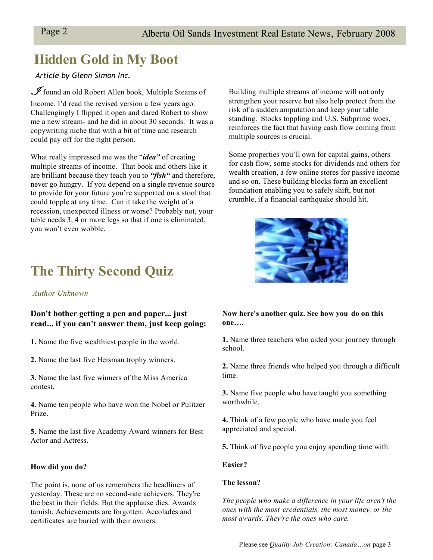# **Hidden Gold in My Boot**

*Article by Glenn Simon Inc.*

 $\mathscr I$  found an old Robert Allen book, Multiple Steams of Income. I'd read the revised version a few years ago. Challengingly I flipped it open and dared Robert to show me a new stream- and he did in about 30 seconds. It was a copywriting niche that with a bit of time and research could pay off for the right person.

What really impressed me was the "*idea"* of creating multiple streams of income. That book and others like it are brilliant because they teach you to *"fish"* and therefore, never go hungry. If you depend on a single revenue source to provide for your future you're supported on a stool that could topple at any time. Can it take the weight of a recession, unexpected illness or worse? Probably not, your table needs 3, 4 or more legs so that if one is eliminated, you won't even wobble.

**The Thirty Second Quiz**

#### *Author Unknown*

#### **Don't bother getting a pen and paper... just read... if you can't answer them, just keep going:**

**1.** Name the five wealthiest people in the world.

**2.** Name the last five Heisman trophy winners.

**3.** Name the last five winners of the Miss America contest.

**4.** Name ten people who have won the Nobel or Pulitzer Prize.

**5.** Name the last five Academy Award winners for Best Actor and Actress.

#### **How did you do?**

The point is, none of us remembers the headliners of yesterday. These are no second-rate achievers. They're the best in their fields. But the applause dies. Awards tarnish. Achievements are forgotten. Accolades and certificates are buried with their owners.

Building multiple streams of income will not only strengthen your reserve but also help protect from the risk of a sudden amputation and keep your table standing. Stocks toppling and U.S. Subprime woes, reinforces the fact that having cash flow coming from multiple sources is crucial.

Some properties you'll own for capital gains, others for cash flow, some stocks for dividends and others for wealth creation, a few online stores for passive income and so on. These building blocks form an excellent foundation enabling you to safely shift, but not crumble, if a financial earthquake should hit.



**Now here's another quiz. See how you do on this one….**

**1.** Name three teachers who aided your journey through school.

**2.** Name three friends who helped you through a difficult time.

**3.** Name five people who have taught you something worthwhile.

**4.** Think of a few people who have made you feel appreciated and special.

**5.** Think of five people you enjoy spending time with.

#### **Easier?**

#### **The lesson?**

*The people who make a difference in your life aren't the ones with the most credentials, the most money, or the most awards. They're the ones who care.*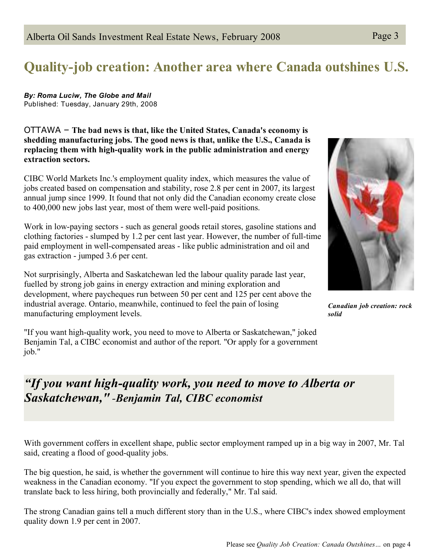# **Quality-job creation: Another area where Canada outshines U.S.**

*By: Roma Luciw, The Globe and Mail* Published: Tuesday, January 29th, 2008

OTTAWA – **The bad news is that, like the United States, Canada's economy is shedding manufacturing jobs. The good news is that, unlike the U.S., Canada is replacing them with high-quality work in the public administration and energy extraction sectors.**

CIBC World Markets Inc.'s employment quality index, which measures the value of jobs created based on compensation and stability, rose 2.8 per cent in 2007, its largest annual jump since 1999. It found that not only did the Canadian economy create close to 400,000 new jobs last year, most of them were well-paid positions.

Work in low-paying sectors - such as general goods retail stores, gasoline stations and clothing factories - slumped by 1.2 per cent last year. However, the number of full-time paid employment in well-compensated areas - like public administration and oil and gas extraction - jumped 3.6 per cent.

Not surprisingly, Alberta and Saskatchewan led the labour quality parade last year, fuelled by strong job gains in energy extraction and mining exploration and development, where paycheques run between 50 per cent and 125 per cent above the industrial average. Ontario, meanwhile, continued to feel the pain of losing manufacturing employment levels.

"If you want high-quality work, you need to move to Alberta or Saskatchewan," joked Benjamin Tal, a CIBC economist and author of the report. "Or apply for a government job."

# *"If you want high-quality work, you need to move to Alberta or Saskatchewan, " -Benjamin Tal, CIBC economist*

With government coffers in excellent shape, public sector employment ramped up in a big way in 2007, Mr. Tal said, creating a flood of good-quality jobs.

The big question, he said, is whether the government will continue to hire this way next year, given the expected weakness in the Canadian economy. "If you expect the government to stop spending, which we all do, that will translate back to less hiring, both provincially and federally," Mr. Tal said.

The strong Canadian gains tell a much different story than in the U.S., where CIBC's index showed employment quality down 1.9 per cent in 2007.



*Canadian job creation: rock solid*